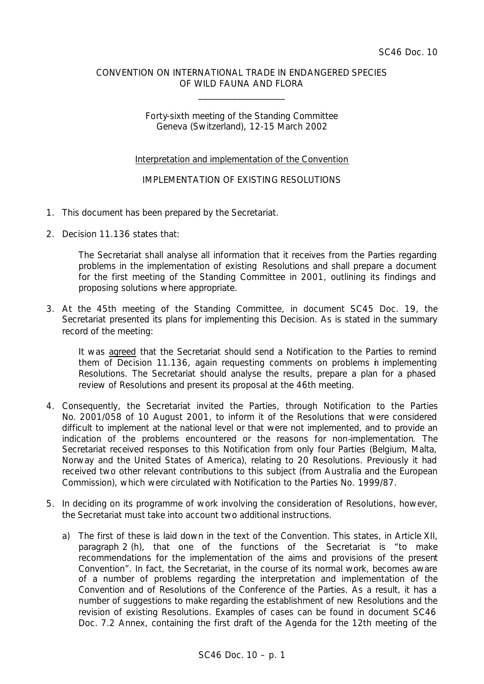## CONVENTION ON INTERNATIONAL TRADE IN ENDANGERED SPECIES OF WILD FAUNA AND FLORA

\_\_\_\_\_\_\_\_\_\_\_\_\_\_\_\_\_\_\_\_

## Forty-sixth meeting of the Standing Committee Geneva (Switzerland), 12-15 March 2002

## Interpretation and implementation of the Convention

## IMPLEMENTATION OF EXISTING RESOLUTIONS

- 1. This document has been prepared by the Secretariat.
- 2. Decision 11.136 states that:

*The Secretariat shall analyse all information that it receives from the Parties regarding problems in the implementation of existing Resolutions and shall prepare a document for the first meeting of the Standing Committee in 2001, outlining its findings and proposing solutions where appropriate.*

3. At the 45th meeting of the Standing Committee, in document SC45 Doc. 19, the Secretariat presented its plans for implementing this Decision. As is stated in the summary record of the meeting:

*It was agreed that the Secretariat should send a Notification to the Parties to remind them of Decision 11.136, again requesting comments on problems in implementing Resolutions. The Secretariat should analyse the results, prepare a plan for a phased review of Resolutions and present its proposal at the 46th meeting.*

- 4. Consequently, the Secretariat invited the Parties, through Notification to the Parties No. 2001/058 of 10 August 2001, to inform it of the Resolutions that were considered difficult to implement at the national level or that were not implemented, and to provide an indication of the problems encountered or the reasons for non-implementation. The Secretariat received responses to this Notification from only four Parties (Belgium, Malta, Norway and the United States of America), relating to 20 Resolutions. Previously it had received two other relevant contributions to this subject (from Australia and the European Commission), which were circulated with Notification to the Parties No. 1999/87.
- 5. In deciding on its programme of work involving the consideration of Resolutions, however, the Secretariat must take into account two additional instructions.
	- a) The first of these is laid down in the text of the Convention. This states, in Article XII, paragraph 2 (h), that one of the functions of the Secretariat is "to make recommendations for the implementation of the aims and provisions of the present Convention". In fact, the Secretariat, in the course of its normal work, becomes aware of a number of problems regarding the interpretation and implementation of the Convention and of Resolutions of the Conference of the Parties. As a result, it has a number of suggestions to make regarding the establishment of new Resolutions and the revision of existing Resolutions. Examples of cases can be found in document SC46 Doc. 7.2 Annex, containing the first draft of the Agenda for the 12th meeting of the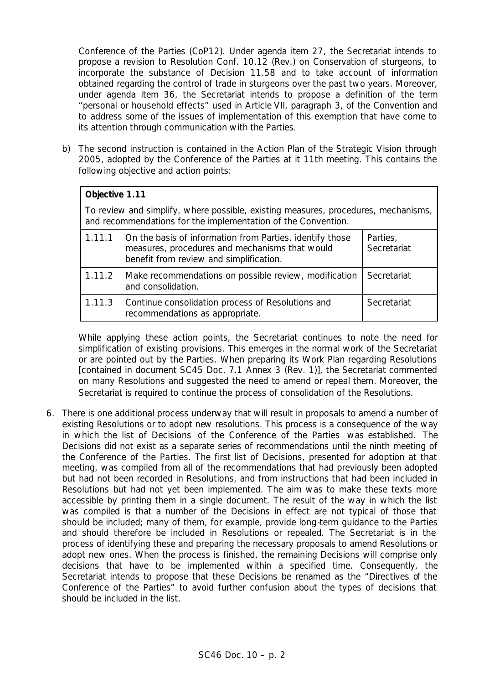Conference of the Parties (CoP12). Under agenda item 27, the Secretariat intends to propose a revision to Resolution Conf. 10.12 (Rev.) on Conservation of sturgeons, to incorporate the substance of Decision 11.58 and to take account of information obtained regarding the control of trade in sturgeons over the past two years. Moreover, under agenda item 36, the Secretariat intends to propose a definition of the term "personal or household effects" used in Article VII, paragraph 3, of the Convention and to address some of the issues of implementation of this exemption that have come to its attention through communication with the Parties.

b) The second instruction is contained in the Action Plan of the Strategic Vision through 2005, adopted by the Conference of the Parties at it 11th meeting. This contains the following objective and action points:

| Objective 1.11                                                                                                                                      |                                                                                                                                                       |                         |  |
|-----------------------------------------------------------------------------------------------------------------------------------------------------|-------------------------------------------------------------------------------------------------------------------------------------------------------|-------------------------|--|
| To review and simplify, where possible, existing measures, procedures, mechanisms,<br>and recommendations for the implementation of the Convention. |                                                                                                                                                       |                         |  |
| 1.11.1                                                                                                                                              | On the basis of information from Parties, identify those<br>measures, procedures and mechanisms that would<br>benefit from review and simplification. | Parties,<br>Secretariat |  |
| 1.11.2                                                                                                                                              | Make recommendations on possible review, modification<br>and consolidation.                                                                           | Secretariat             |  |
| 1.11.3                                                                                                                                              | Continue consolidation process of Resolutions and<br>recommendations as appropriate.                                                                  | Secretariat             |  |

While applying these action points, the Secretariat continues to note the need for simplification of existing provisions. This emerges in the normal work of the Secretariat or are pointed out by the Parties. When preparing its Work Plan regarding Resolutions [contained in document SC45 Doc. 7.1 Annex 3 (Rev. 1)], the Secretariat commented on many Resolutions and suggested the need to amend or repeal them. Moreover, the Secretariat is required to continue the process of consolidation of the Resolutions.

6. There is one additional process underway that will result in proposals to amend a number of existing Resolutions or to adopt new resolutions. This process is a consequence of the way in which the list of Decisions of the Conference of the Parties was established. The Decisions did not exist as a separate series of recommendations until the ninth meeting of the Conference of the Parties. The first list of Decisions, presented for adoption at that meeting, was compiled from all of the recommendations that had previously been adopted but had not been recorded in Resolutions, and from instructions that had been included in Resolutions but had not yet been implemented. The aim was to make these texts more accessible by printing them in a single document. The result of the way in which the list was compiled is that a number of the Decisions in effect are not typical of those that should be included; many of them, for example, provide long-term guidance to the Parties and should therefore be included in Resolutions or repealed. The Secretariat is in the process of identifying these and preparing the necessary proposals to amend Resolutions or adopt new ones. When the process is finished, the remaining Decisions will comprise only decisions that have to be implemented within a specified time. Consequently, the Secretariat intends to propose that these Decisions be renamed as the "Directives of the Conference of the Parties" to avoid further confusion about the types of decisions that should be included in the list.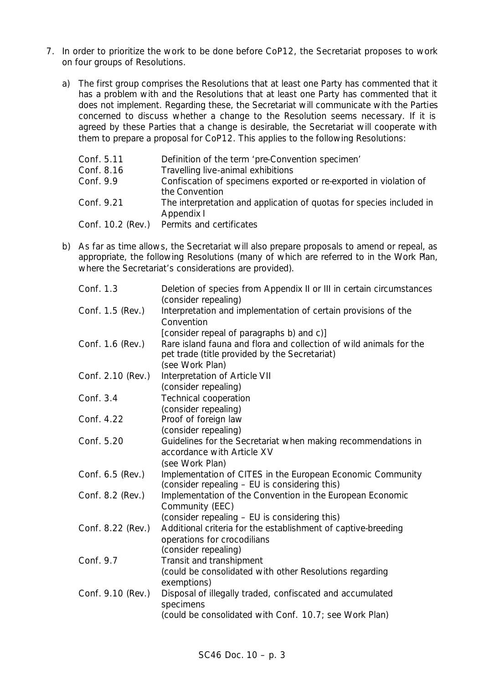- 7. In order to prioritize the work to be done before CoP12, the Secretariat proposes to work on four groups of Resolutions.
	- a) The first group comprises the Resolutions that at least one Party has commented that it has a problem with and the Resolutions that at least one Party has commented that it does not implement. Regarding these, the Secretariat will communicate with the Parties concerned to discuss whether a change to the Resolution seems necessary. If it is agreed by these Parties that a change is desirable, the Secretariat will cooperate with them to prepare a proposal for CoP12. This applies to the following Resolutions:

| Conf. 5.11        | Definition of the term 'pre-Convention specimen'                                    |
|-------------------|-------------------------------------------------------------------------------------|
| Conf. 8.16        | Travelling live-animal exhibitions                                                  |
| Conf. 9.9         | Confiscation of specimens exported or re-exported in violation of<br>the Convention |
| Conf. 9.21        | The interpretation and application of quotas for species included in<br>Appendix I  |
| Conf. 10.2 (Rev.) | Permits and certificates                                                            |

b) As far as time allows, the Secretariat will also prepare proposals to amend or repeal, as appropriate, the following Resolutions (many of which are referred to in the Work Plan, where the Secretariat's considerations are provided).

| Conf. 1.3         | Deletion of species from Appendix II or III in certain circumstances<br>(consider repealing)                                           |
|-------------------|----------------------------------------------------------------------------------------------------------------------------------------|
| Conf. 1.5 (Rev.)  | Interpretation and implementation of certain provisions of the<br>Convention                                                           |
|                   | [consider repeal of paragraphs b) and c)]                                                                                              |
| Conf. 1.6 (Rev.)  | Rare island fauna and flora and collection of wild animals for the<br>pet trade (title provided by the Secretariat)<br>(see Work Plan) |
| Conf. 2.10 (Rev.) | Interpretation of Article VII                                                                                                          |
|                   | (consider repealing)                                                                                                                   |
| Conf. 3.4         | <b>Technical cooperation</b>                                                                                                           |
|                   | (consider repealing)                                                                                                                   |
| Conf. 4.22        | Proof of foreign law                                                                                                                   |
|                   | (consider repealing)                                                                                                                   |
| Conf. 5.20        | Guidelines for the Secretariat when making recommendations in<br>accordance with Article XV                                            |
|                   | (see Work Plan)                                                                                                                        |
| Conf. 6.5 (Rev.)  | Implementation of CITES in the European Economic Community<br>(consider repealing - EU is considering this)                            |
| Conf. 8.2 (Rev.)  | Implementation of the Convention in the European Economic<br>Community (EEC)                                                           |
|                   | (consider repealing – EU is considering this)                                                                                          |
| Conf. 8.22 (Rev.) | Additional criteria for the establishment of captive-breeding<br>operations for crocodilians                                           |
|                   | (consider repealing)                                                                                                                   |
| Conf. 9.7         | Transit and transhipment                                                                                                               |
|                   | (could be consolidated with other Resolutions regarding                                                                                |
| Conf. 9.10 (Rev.) | exemptions)<br>Disposal of illegally traded, confiscated and accumulated                                                               |
|                   | specimens                                                                                                                              |
|                   | (could be consolidated with Conf. 10.7; see Work Plan)                                                                                 |
|                   |                                                                                                                                        |